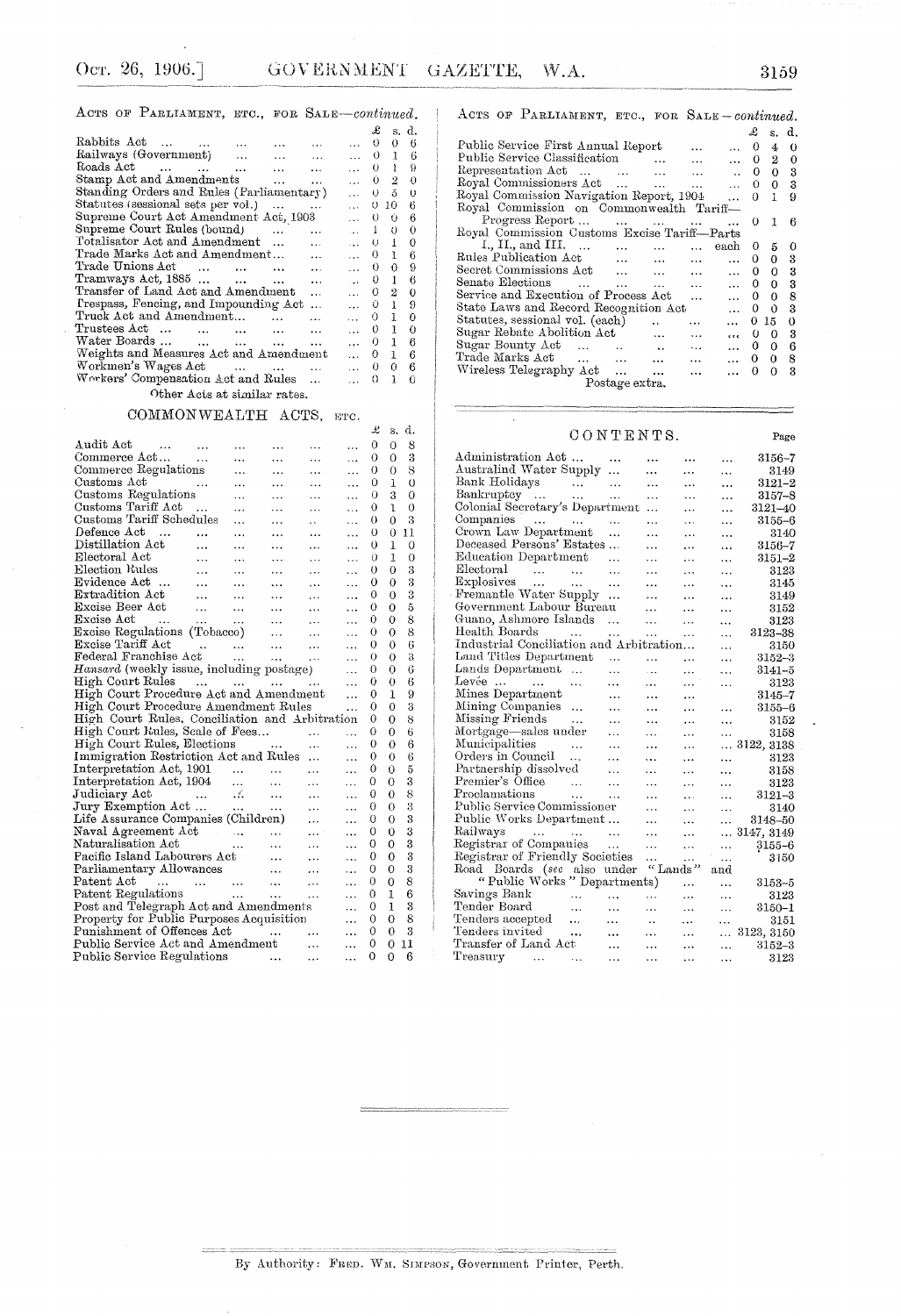|  | ACTS OF PARLIAMENT, ETC., FOR SALE-continued. |
|--|-----------------------------------------------|
|--|-----------------------------------------------|

|                                                    |                               |               | £            | S.             | d.       |
|----------------------------------------------------|-------------------------------|---------------|--------------|----------------|----------|
| Rabbits Act                                        |                               | $\cdots$      | 0            | $0 -$          | 6        |
| Railways (Government)<br>$\cdots$                  | $\ddotsc$                     | $\ldots$ 0 1  |              |                | 6        |
| Roads Act<br><b>SALE OF</b>                        | $\ddotsc$                     | $\cdots$      |              | 0 <sub>1</sub> | 9        |
| Stamp Act and Amendments<br>$\cdots$               | $\cdots$                      | $\ldots$ 0 2  |              |                | 0        |
| Standing Orders and Rules (Parliamentary)          |                               | $\cdots$      | Ü            | 5              | $\theta$ |
| Statutes (sessional sets per vol.)                 | $\ddotsc$                     | $\cdots$      | O            | 10             | 6        |
| Supreme Court Act Amendment Act, 1903              |                               | $\cdots$      | 0            | 0              | 6        |
| Supreme Court Rules (bound)<br>$\cdots$            |                               | $\sim$        | $\mathbf{1}$ | $\theta$       | 0        |
| Totalisator Act and Amendment                      | $\ddotsc$                     | isso i        | U            | $\blacksquare$ | 0        |
| Trade Marks Act and Amendment                      | $\ddotsc$                     | $\cdots$      | 0            | 1              | 6        |
| Trade Unions Act<br>$\sim$ $\sim$<br>$\sim$ $\sim$ | $\ddot{\phantom{a}}$          | $\mathbf{1}$  | 0            | 0              | 9        |
| Tramways Act, $1885$                               | $\ddotsc$                     | <b>Carlos</b> | 0            | 1              | 6        |
| Transfer of Land Act and Amendment                 |                               | $\cdots$      | 0            | 2              | 0        |
| Prespass, Fencing, and Impounding Act              | $\ddotsc$                     | $\cdots$      | 0            | 1              | 9        |
| Truck Act and Amendment<br>$\ddot{\phantom{a}}$    | $\overline{\phantom{a}}$      | $\cdots$      | 0            | 1              | 0        |
| Trustees Act<br>and the contract<br>$\ddotsc$      | $\cdots$                      | $\cdots$      | 0            | 1              | 0        |
| Water Boards                                       | $\cdots$                      | $\cdots$      | 0            | 1              | 6        |
| Weights and Measures Act and Amendment             |                               | $\cdots$      | 0            | $\mathbf{1}$   | 6        |
| Workmen's Wages Act                                | $\mathbf{1}$ and $\mathbf{1}$ | $\ddotsc$     | 0            | 0              | 6        |
| Workers' Compensation Act and Rules                | $\ddotsc$                     |               | 0            | ı              | 0        |
|                                                    |                               |               |              |                |          |

Other Acts at similar rates.

### COMMONWEALTH ACTS, ETC.

|                                                                                                              |                   |            |                                                                                                         |                 |            | ÷. | వ.             | u. |
|--------------------------------------------------------------------------------------------------------------|-------------------|------------|---------------------------------------------------------------------------------------------------------|-----------------|------------|----|----------------|----|
| Audit Act<br>$\sim 100$ km s $^{-1}$                                                                         | $\ddotsc$         |            |                                                                                                         | .               | $\cdots$   | 0  | 0              | 8  |
| Commerce Act                                                                                                 | $\sim$ 4.4 $\sim$ |            |                                                                                                         |                 | $\cdots$   | 0  | 0              | 3  |
| Commerce Regulations                                                                                         |                   | .          | $\ddotsc$                                                                                               | $\ddotsc$       | $\dddotsc$ | 0  | 0              | 8  |
| Customs Act<br>لتناولوا                                                                                      |                   | $\cdots$   | $\cdots$                                                                                                | $\ddotsc$       | $\ddotsc$  | 0  | 1              | 0  |
| Customs Regulations                                                                                          |                   | $\ddotsc$  | $\cdots$                                                                                                | $\ddotsc$       | $\ddotsc$  | 0  | 3              | 0  |
| Customs Tariff Act                                                                                           | $\dddotsc$        | $\ddotsc$  |                                                                                                         | $\cdots$        |            | 0  | 1              | 0  |
| Customs Tariff Schedules                                                                                     |                   |            | $\ddotsc$                                                                                               | $\mathbf{r}$    | $\ddotsc$  | 0  | 0              | 3  |
| Defence Act                                                                                                  | $\cdots$          | $\ddotsc$  | $\cdots$                                                                                                | $\ddotsc$       | $\ddotsc$  | 0  | Ü              | 11 |
| Distillation Act                                                                                             | $\ddotsc$         | $\ddotsc$  | .                                                                                                       | $\cdots$        | $\ddotsc$  | 0  | $\bf{1}$       | 0  |
| Electoral Act                                                                                                | $\ddotsc$         | .          | $\cdots$                                                                                                | $\cdots$        | .          | Ü  | 1              | 0  |
| Election Rules                                                                                               | $\sim$            | $\cdots$   | $\cdots$                                                                                                | $\cdots$        | $\ddotsc$  | 0  | 0              | 3  |
| Evidence Act                                                                                                 | $\sim$            | $\dddotsc$ | $\cdots$                                                                                                | $\cdots$        | $\ddotsc$  | 0  | 0              | 3  |
| Extradition Act                                                                                              |                   |            | المتعقب المتفارد التقليل                                                                                | $\cdots$        | $\ddotsc$  | 0  | 0              | 3  |
| Excise Beer Act                                                                                              |                   |            | $\mathcal{L}_{\text{max}}$ and $\mathcal{L}_{\text{max}}$ and $\mathcal{L}_{\text{max}}$                | $\sim 10^{-11}$ | $\ddotsc$  | 0  | 0              | 5  |
| Excise Act                                                                                                   |                   |            |                                                                                                         |                 | .          | 0  | $\theta$       | 8  |
| Excise Act<br>Excise Regulations (Tobacco)                                                                   |                   |            |                                                                                                         |                 | $\ddotsc$  | 0  | 0              | 8  |
|                                                                                                              |                   |            |                                                                                                         |                 | $\ldots$   | 0  | 0              | 6  |
|                                                                                                              |                   |            |                                                                                                         |                 | $\cdots$   | 0  | О              | 3  |
| Hansard (weekly issue, including postage)                                                                    |                   |            |                                                                                                         |                 | $\ddotsc$  | 0  | 0              | 6  |
| High Court Rules                                                                                             |                   |            |                                                                                                         |                 | $\dddotsc$ | 0  | $\theta$       | 6  |
| High Court Procedure Act and Amendment                                                                       |                   |            |                                                                                                         |                 | $\ddotsc$  | 0  | 1              | 9  |
| High Court Procedure Amendment Rules                                                                         |                   |            |                                                                                                         |                 | $\ddotsc$  | 0  | 0              | 3  |
| High Court Rules, Conciliation and Arbitration                                                               |                   |            |                                                                                                         |                 |            | 0  | 0              | 8  |
| High Court Rules, Scale of Fees                                                                              |                   |            |                                                                                                         |                 | $\ddotsc$  | 0  | 0              | 6  |
| High Court Rules, Elections                                                                                  |                   |            | <b>Contract Contract Contract</b>                                                                       |                 | $\ddotsc$  | 0  | 0              | 6  |
| Immigration Restriction Act and Rules                                                                        |                   |            |                                                                                                         |                 | .          | 0  | 0              | 6  |
|                                                                                                              |                   |            |                                                                                                         |                 | .          | 0  | $\Omega$       | 5  |
| Interpretation Act, 1901<br>Interpretation Act, 1904                                                         |                   |            |                                                                                                         | $\cdots$        | .          | 0  | 0              | 3  |
| Judiciary Act                                                                                                |                   |            | and the same way to the                                                                                 |                 | $\ddotsc$  | 0  | 0              | 8  |
| Jury Exemption Act                                                                                           |                   |            |                                                                                                         |                 | .          | 0  | $\overline{O}$ | 3  |
|                                                                                                              |                   |            |                                                                                                         |                 | $\ddotsc$  | 0  | 0              | 3  |
| Life Assurance Companies (Children)<br>Naval Agreement Act<br>Naturalisation Act                             |                   |            |                                                                                                         | $\mathbf{1}$    | .          | 0  | Û              | 3  |
|                                                                                                              |                   |            |                                                                                                         |                 | .          | 0  | 0              | 3  |
| Pacific Island Labourers Act                                                                                 |                   |            |                                                                                                         |                 |            | 0  | 0              | 3  |
|                                                                                                              |                   |            |                                                                                                         | $\ddotsc$       | 444        | 0  | 0              | 3  |
| Parliamentary Allowances<br>Patent Act (1991) 1992 (1992) 1994<br>Patent Regulations (1992) 1994 (1992) 1994 |                   |            |                                                                                                         |                 | .          | 0  | $\overline{0}$ | 8  |
|                                                                                                              |                   |            |                                                                                                         |                 | .          |    | 1              | 6  |
|                                                                                                              |                   |            |                                                                                                         |                 |            | 0  |                |    |
| Post and Telegraph Act and Amendments                                                                        |                   |            |                                                                                                         |                 | $\ddotsc$  | 0  | 1              | 3  |
| Property for Public Purposes Acquisition                                                                     |                   |            |                                                                                                         |                 | $\ddotsc$  | 0  | $\Omega$       | 8  |
| Punishment of Offences Act<br>Punishment of Offences Act<br>Public Service Act and Amendment                 |                   |            |                                                                                                         |                 | .          | 0  | $\theta$       | 3  |
|                                                                                                              |                   |            |                                                                                                         |                 | $\ddotsc$  | 0  | $\overline{O}$ | 11 |
| Public Service Regulations                                                                                   |                   |            | $\frac{1}{2}$ and $\frac{1}{2}$ and $\frac{1}{2}$ and $\frac{1}{2}$ and $\frac{1}{2}$ and $\frac{1}{2}$ |                 |            | 0  | $\Omega$       | -6 |

|  | ACTS OF PARLIAMENT, ETC., FOR SALE-continued. |          |          |                    |      |          |
|--|-----------------------------------------------|----------|----------|--------------------|------|----------|
|  |                                               |          |          | $\mathcal{L}$ s.d. |      |          |
|  | Public Service First Annual Report            |          | $\cdots$ | $\therefore$ 0 4 0 |      |          |
|  | Public Service Classification                 | $\cdots$ | $\cdots$ | $\ldots$ 0 2       |      | $\theta$ |
|  | Representation Act                            |          |          |                    | 00 P |          |

| Representation Act                                                                                                                                                                                                                                      | $\cdots$                 |                                 |           | 0  | 0           | з           |  |  |
|---------------------------------------------------------------------------------------------------------------------------------------------------------------------------------------------------------------------------------------------------------|--------------------------|---------------------------------|-----------|----|-------------|-------------|--|--|
| Royal Commissioners Act                                                                                                                                                                                                                                 |                          |                                 |           | 0  | 0           | 3           |  |  |
| Royal Commission Navigation Report, 1904                                                                                                                                                                                                                |                          |                                 | $\cdots$  | 0  | Ŧ           | 9           |  |  |
| Royal Commission on Commonwealth Tariff-                                                                                                                                                                                                                |                          |                                 |           |    |             |             |  |  |
| Progress Report                                                                                                                                                                                                                                         |                          |                                 |           | 0  |             | 6           |  |  |
| Royal Commission Customs Excise Tariff-Parts                                                                                                                                                                                                            |                          |                                 |           |    |             |             |  |  |
| I., II., and III. $\ldots$<br>$\sim$ $\sim$                                                                                                                                                                                                             | <b>Contract Contract</b> |                                 | each      | 0  | 5           | 0           |  |  |
| Rules Publication Act<br>and the contract of the contract of the contract of the contract of the contract of the contract of the contract of the contract of the contract of the contract of the contract of the contract of the contract of the contra |                          |                                 |           | 0  | 0           | 3           |  |  |
| Secret Commissions Act                                                                                                                                                                                                                                  |                          |                                 |           | 0. | 0           | - 3         |  |  |
| Senate Elections                                                                                                                                                                                                                                        | $\cdots$                 | <b><i>Charles Committee</i></b> | $\cdots$  | 0. | 0           | 3           |  |  |
| Service and Execution of Process Act                                                                                                                                                                                                                    |                          | $\ddotsc$                       | $\ddotsc$ | 0  | 0           | 8           |  |  |
| State Laws and Record Recognition Act                                                                                                                                                                                                                   |                          |                                 | $\cdots$  | 0  | 0           | 3           |  |  |
| Statutes, sessional vol. (each)                                                                                                                                                                                                                         |                          | $\cdots$                        |           | 0  | 15          | $\mathbf 0$ |  |  |
| Sugar Rebate Abolition Act                                                                                                                                                                                                                              | $\ddotsc$                | .                               | e e e     |    | $0 \quad 0$ | -3          |  |  |
| Sugar Bounty Act                                                                                                                                                                                                                                        | $\sim$                   | $\ddotsc$                       | $\cdots$  | 0. | 0           | 6           |  |  |
| Trade Marks Act                                                                                                                                                                                                                                         | $\cdots$                 |                                 | $\cdots$  | 0  | 0           | 8           |  |  |
| Wireless Telegraphy Act                                                                                                                                                                                                                                 |                          |                                 |           | 0  | $\Omega$    | 3           |  |  |
| Postage extra.                                                                                                                                                                                                                                          |                          |                                 |           |    |             |             |  |  |
|                                                                                                                                                                                                                                                         |                          |                                 |           |    |             |             |  |  |

#### $CONTENTS.$

|                                                     | CONTENTS. |                                  |                              |           | Page        |
|-----------------------------------------------------|-----------|----------------------------------|------------------------------|-----------|-------------|
| Administration Act                                  |           | .                                | .                            |           | 3156–7      |
| Australind Water Supply                             | .         | .                                | .                            | .         | 3149        |
| Bank Holidays<br>$\sim$ 100 $\mu$                   | .         | .                                | .                            | .         | $3121 - 2$  |
| Bankruptcy<br><b>Contract Contract</b><br>$\ddotsc$ | .         | .                                | .                            |           | 3157-8      |
| Colonial Secretary's Department                     |           | .                                | .                            |           | 3121–40     |
| Companies<br><b>Sales Contact</b>                   | .         | .                                | .                            |           | $3155 - 6$  |
| Crown Law Department                                | $\ddotsc$ | .                                | $\ddotsc$                    |           | 3140        |
| Deceased Persons' Estates                           |           | .                                | .                            |           | 3156–7      |
| Education Department                                | .         | .                                | .                            |           | $3151 - 2$  |
| Electoral<br><b>Contract Contract</b>               | .         | .                                | .                            | .         | 3123        |
| Explosives<br>$\sim$<br>$\sim$ $\sim$ $\sim$        | $\cdots$  | .                                | .                            |           | 3145        |
| Fremantle Water Supply                              | .         | .                                | .                            | $\ddotsc$ | 3149        |
| Government Labour Bureau                            |           | .                                | .                            | .         | 3152        |
| Guano, Ashmore Islands                              | $\cdots$  | .                                | .                            | .         | 3123        |
| Health Boards<br>$\sim 100$ km s $^{-1}$            | $\ddotsc$ | $\cdots$                         | .                            | .         | $3123 - 38$ |
| Industrial Conciliation and Arbitration             |           |                                  |                              | .         | 3150        |
| Land Titles Department                              | .         | .                                | $\ddotsc$                    |           | 3152-3      |
| Lands Department                                    | .         | $\ddotsc$                        | $\ddotsc$                    |           | 3141-5      |
| $Lev$ ée $\ldots$ $\ldots$<br>$\cdots$              | $\cdots$  | $\cdots$                         | $\cdots$                     | .         | 3123        |
| Mines Department                                    | .         | .                                | .                            |           | $3145 - 7$  |
| Mining Companies                                    | .         | .                                | .                            | .         | $3155 - 6$  |
| Missing Friends<br>$\ddotsc$                        | .         | .                                | $\cdots$                     | $\ddotsc$ | 3152        |
| Mortgage-sales under                                | .         | .                                | .                            | .         | 3158        |
| Municipalities<br>$\ddotsc$                         | $\ddotsc$ | .                                | .                            | $\cdots$  | 3122, 3138  |
| Orders in Council<br>$\ddotsc$                      | .         | .                                | .                            | .         | 3123        |
| Partnership dissolved                               | .         | .                                | .                            | .         | 3158        |
| Premier's Office<br>$\sim$ $\sim$                   |           | .                                | .                            | .         | 3123        |
| Proclamations<br>$\ddotsc$                          | .         |                                  | $\ddotsc$                    |           | $3121 - 3$  |
| Public Service Commissioner                         |           | .                                | .                            | .         | 3140        |
| Public Works Department                             |           | .                                | .                            | .         | 3148-50     |
| Railways<br>and the company of the company          | $\ddotsc$ | .                                | .                            | .         | 3147, 3149  |
| Registrar of Companies                              | $\cdots$  | .                                | .                            | $\ddotsc$ | $3155 - 6$  |
| Registrar of Friendly Societies                     |           | .                                |                              |           | 3150        |
| Road Boards (see also under                         |           |                                  | .<br>$^{\prime\prime}$ Lands | <br>and   |             |
| "Public Works" Departments)                         |           |                                  |                              | $\cdots$  | $3153 - 5$  |
| Savings Bank<br>$\ddotsc$                           | $\ddotsc$ | .                                | $\cdots$                     |           | 3123        |
| Tender Board<br>$\ddotsc$                           | $\ddotsc$ | $\cdots$                         | .                            | .         | $3150 - 1$  |
| Tenders accepted<br>$\ddotsc$                       | $\ddotsc$ |                                  | $\ldots$                     | .         | 3151        |
| Tenders invited<br>                                 | $\ddotsc$ | $\ddot{\phantom{a}}$<br>$\cdots$ | .<br>$\ddotsc$               | .         | 3123, 3150  |
| Transfer of Land Act                                | $\ddotsc$ | .                                |                              | .         | $3152 - 3$  |
| Treasury                                            |           |                                  | .                            | .         | 3123        |
| $\cdots$<br>$\ddotsc$                               | $\ddotsc$ | .                                |                              | .         |             |